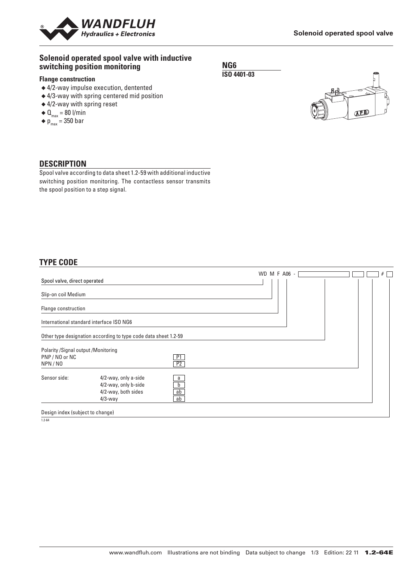

### **Solenoid operated spool valve with inductive switching position monitoring**

### **Flange construction**

- ◆ 4/2-way impulse execution, dentented
- ◆ 4/3-way with spring centered mid position
- ◆ 4/2-way with spring reset
- $\blacklozenge \mathbf{0}_{\text{max}} = 80 \text{ I/min}$
- $\blacklozenge$  p<sub>max</sub> = 350 bar





### **DESCRIPTION**

Spool valve according to data sheet 1.2-59 with additional inductive switching position monitoring. The contactless sensor transmits the spool position to a step signal.

## **TYPE CODE**

| Spool valve, direct operated                                      |                                                                                   |                    | WD M F A06 - $\sqrt{ }$ | # |
|-------------------------------------------------------------------|-----------------------------------------------------------------------------------|--------------------|-------------------------|---|
| Slip-on coil Medium                                               |                                                                                   |                    |                         |   |
| Flange construction                                               |                                                                                   |                    |                         |   |
|                                                                   | International standard interface ISO NG6                                          |                    |                         |   |
|                                                                   | Other type designation according to type code data sheet 1.2-59                   |                    |                         |   |
| Polarity / Signal output / Monitoring<br>PNP / NO or NC<br>NPN/NO |                                                                                   | P1<br>P2           |                         |   |
| Sensor side:                                                      | 4/2-way, only a-side<br>4/2-way, only b-side<br>4/2-way, both sides<br>$4/3$ -way | a<br>b<br>ab<br>ab |                         |   |
| Design index (subject to change)                                  |                                                                                   |                    |                         |   |

 $1.2 - 64$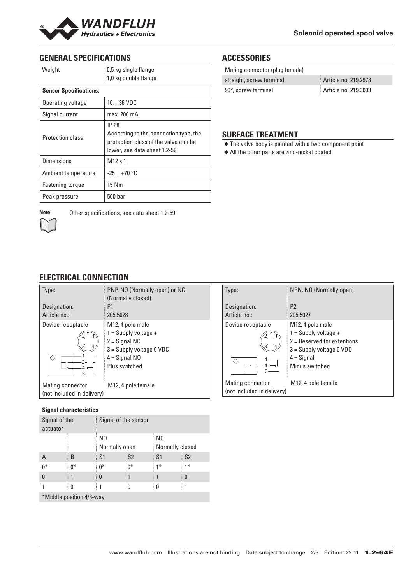

# **GENERAL SPECIFICATIONS**

| Weight                        | 0,5 kg single flange<br>1,0 kg double flange                                                                           |  |
|-------------------------------|------------------------------------------------------------------------------------------------------------------------|--|
| <b>Sensor Specifications:</b> |                                                                                                                        |  |
| Operating voltage             | 1036 VDC                                                                                                               |  |
| Signal current                | max. 200 mA                                                                                                            |  |
| <b>Protection class</b>       | IP 68<br>According to the connection type, the<br>protection class of the valve can be<br>lower, see data sheet 1.2-59 |  |
| <b>Dimensions</b>             | $M12 \times 1$                                                                                                         |  |
| Ambient temperature           | $-25+70$ °C                                                                                                            |  |
| Fastening torque              | 15 Nm                                                                                                                  |  |
| Peak pressure                 | 500 bar                                                                                                                |  |



| Mating connector (plug female) |                      |
|--------------------------------|----------------------|
| straight, screw terminal       | Article no. 219.2978 |
| 90°, screw terminal            | Article no. 219.3003 |

## **SURFACE TREATMENT**

- ◆ The valve body is painted with a two component paint
- ◆ All the other parts are zinc-nickel coated

**Note!** Other specifications, see data sheet 1.2-59

# **ELECTRICAL CONNECTION**

| Type:                      | PNP, NO (Normally open) or NC<br>(Normally closed) |
|----------------------------|----------------------------------------------------|
| Designation:               | P1                                                 |
| Article no.:               | 205.5028                                           |
| Device receptacle          | M <sub>12</sub> , 4 pole male                      |
|                            | $1 =$ Supply voltage +                             |
|                            | $2 =$ Signal NC                                    |
|                            | $3 =$ Supply voltage 0 VDC                         |
| ∢∢                         | $4 =$ Signal NO                                    |
| 3                          | Plus switched                                      |
| Mating connector           | M12, 4 pole female                                 |
| (not included in delivery) |                                                    |
|                            |                                                    |

### **Signal characteristics**

| Signal of the<br>actuator |    | Signal of the sensor |                |                       |                |
|---------------------------|----|----------------------|----------------|-----------------------|----------------|
|                           |    | N0<br>Normally open  |                | ΝC<br>Normally closed |                |
| A                         | B  | S <sub>1</sub>       | S <sub>2</sub> | S <sub>1</sub>        | S <sub>2</sub> |
| $0*$                      | 0* | $0^*$                | $0*$           | $1*$                  | $1*$           |
| 0                         |    | 0                    |                |                       | 0              |
|                           | 0  |                      | 0              | 0                     |                |
| *Middle position 4/3-way  |    |                      |                |                       |                |

| Type:                                          | NPN, NO (Normally open)                                                                                                                     |
|------------------------------------------------|---------------------------------------------------------------------------------------------------------------------------------------------|
| Designation:<br>Article no.:                   | P <sub>2</sub><br>205.5027                                                                                                                  |
| Device receptacle<br>∢∢                        | M12, 4 pole male<br>$1 =$ Supply voltage +<br>$2$ = Reserved for extentions<br>$3 =$ Supply voltage 0 VDC<br>$4 =$ Signal<br>Minus switched |
| Mating connector<br>(not included in delivery) | M <sub>12</sub> , 4 pole female                                                                                                             |